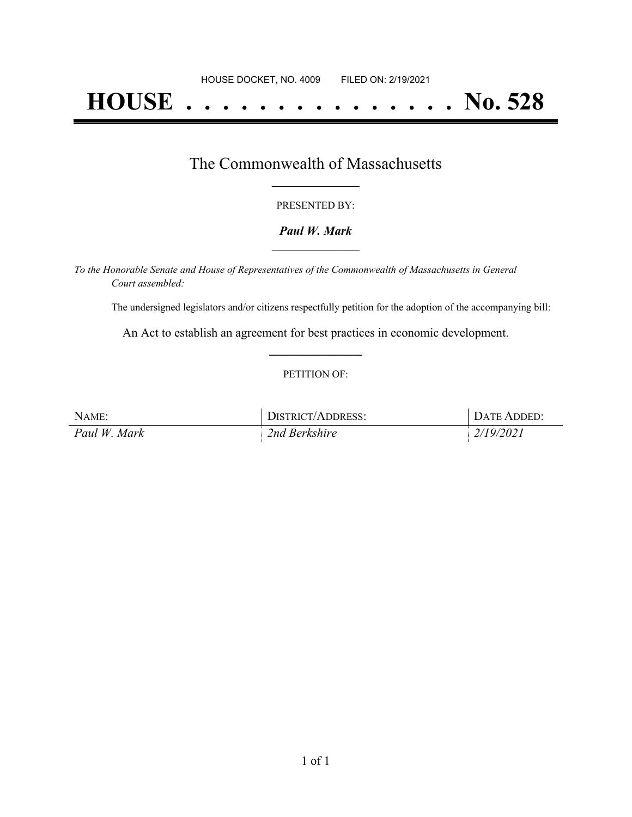# **HOUSE . . . . . . . . . . . . . . . No. 528**

### The Commonwealth of Massachusetts **\_\_\_\_\_\_\_\_\_\_\_\_\_\_\_\_\_**

#### PRESENTED BY:

#### *Paul W. Mark* **\_\_\_\_\_\_\_\_\_\_\_\_\_\_\_\_\_**

*To the Honorable Senate and House of Representatives of the Commonwealth of Massachusetts in General Court assembled:*

The undersigned legislators and/or citizens respectfully petition for the adoption of the accompanying bill:

An Act to establish an agreement for best practices in economic development. **\_\_\_\_\_\_\_\_\_\_\_\_\_\_\_**

#### PETITION OF:

| NAME:        | DISTRICT/ADDRESS: | DATE ADDED: |
|--------------|-------------------|-------------|
| Paul W. Mark | 2nd Berkshire     | 2/19/2021   |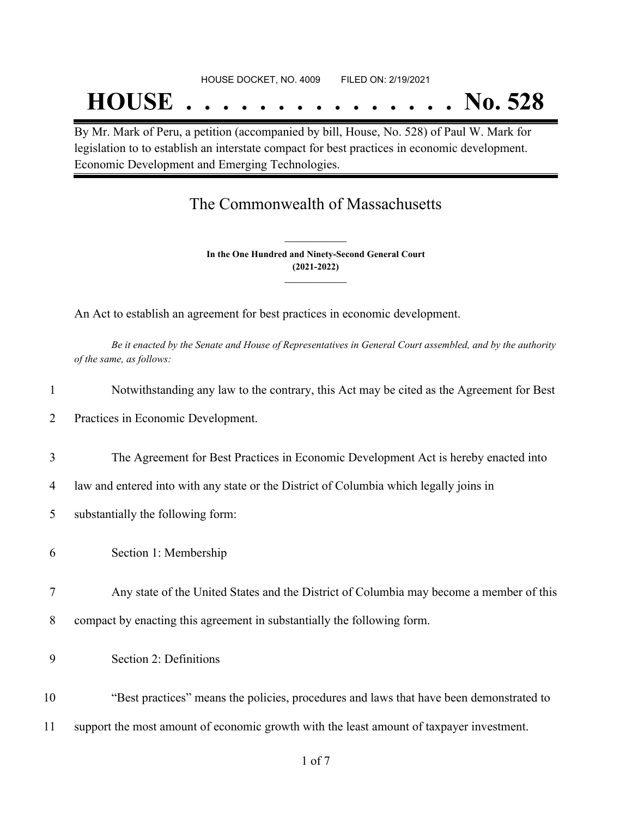## **HOUSE . . . . . . . . . . . . . . . No. 528**

By Mr. Mark of Peru, a petition (accompanied by bill, House, No. 528) of Paul W. Mark for legislation to to establish an interstate compact for best practices in economic development. Economic Development and Emerging Technologies.

## The Commonwealth of Massachusetts

**In the One Hundred and Ninety-Second General Court (2021-2022) \_\_\_\_\_\_\_\_\_\_\_\_\_\_\_**

**\_\_\_\_\_\_\_\_\_\_\_\_\_\_\_**

An Act to establish an agreement for best practices in economic development.

Be it enacted by the Senate and House of Representatives in General Court assembled, and by the authority *of the same, as follows:*

| $\mathbf{1}$ | Notwithstanding any law to the contrary, this Act may be cited as the Agreement for Best |
|--------------|------------------------------------------------------------------------------------------|
| 2            | Practices in Economic Development.                                                       |
| 3            | The Agreement for Best Practices in Economic Development Act is hereby enacted into      |
| 4            | law and entered into with any state or the District of Columbia which legally joins in   |
| 5            | substantially the following form:                                                        |
| 6            | Section 1: Membership                                                                    |
| 7            | Any state of the United States and the District of Columbia may become a member of this  |
| 8            | compact by enacting this agreement in substantially the following form.                  |
| 9            | Section 2: Definitions                                                                   |
| 10           | "Best practices" means the policies, procedures and laws that have been demonstrated to  |
| 11           | support the most amount of economic growth with the least amount of taxpayer investment. |
|              | $\sim$ $\sim$ $\sim$                                                                     |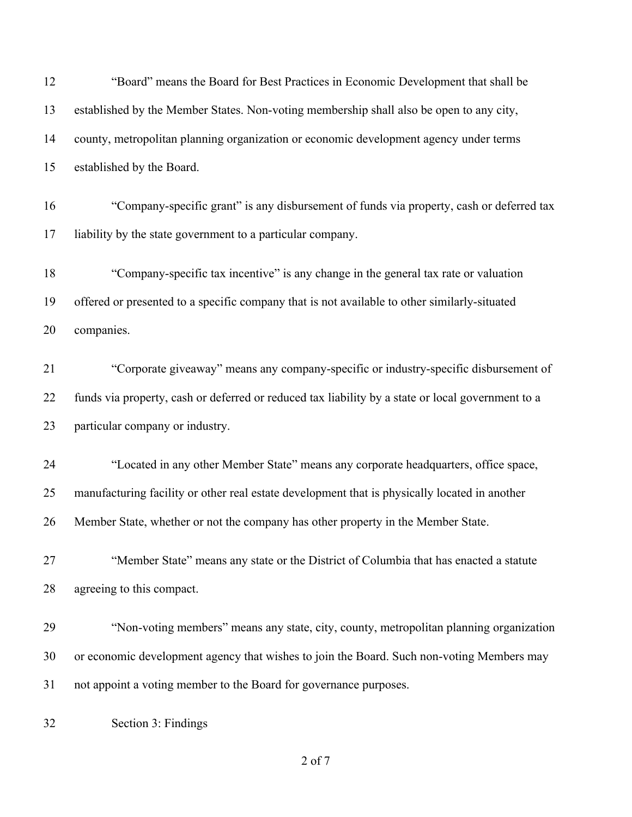| 12 | "Board" means the Board for Best Practices in Economic Development that shall be                  |
|----|---------------------------------------------------------------------------------------------------|
| 13 | established by the Member States. Non-voting membership shall also be open to any city,           |
| 14 | county, metropolitan planning organization or economic development agency under terms             |
| 15 | established by the Board.                                                                         |
| 16 | "Company-specific grant" is any disbursement of funds via property, cash or deferred tax          |
| 17 | liability by the state government to a particular company.                                        |
| 18 | "Company-specific tax incentive" is any change in the general tax rate or valuation               |
| 19 | offered or presented to a specific company that is not available to other similarly-situated      |
| 20 | companies.                                                                                        |
| 21 | "Corporate giveaway" means any company-specific or industry-specific disbursement of              |
| 22 | funds via property, cash or deferred or reduced tax liability by a state or local government to a |
| 23 | particular company or industry.                                                                   |
| 24 | "Located in any other Member State" means any corporate headquarters, office space,               |
| 25 | manufacturing facility or other real estate development that is physically located in another     |
| 26 | Member State, whether or not the company has other property in the Member State.                  |
| 27 | "Member State" means any state or the District of Columbia that has enacted a statute             |
| 28 | agreeing to this compact.                                                                         |
| 29 | "Non-voting members" means any state, city, county, metropolitan planning organization            |
| 30 | or economic development agency that wishes to join the Board. Such non-voting Members may         |
| 31 | not appoint a voting member to the Board for governance purposes.                                 |
| 32 | Section 3: Findings                                                                               |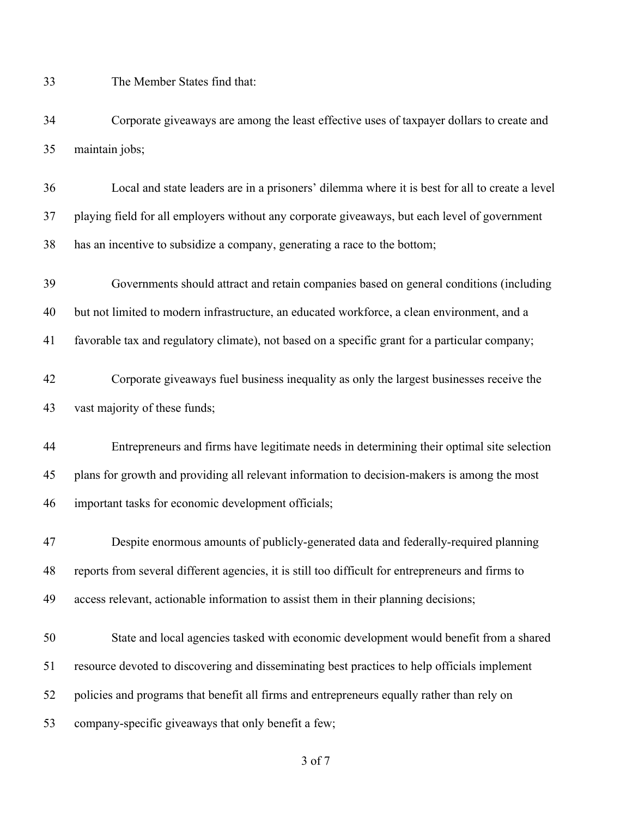The Member States find that:

 Corporate giveaways are among the least effective uses of taxpayer dollars to create and maintain jobs;

 Local and state leaders are in a prisoners' dilemma where it is best for all to create a level playing field for all employers without any corporate giveaways, but each level of government has an incentive to subsidize a company, generating a race to the bottom;

 Governments should attract and retain companies based on general conditions (including but not limited to modern infrastructure, an educated workforce, a clean environment, and a favorable tax and regulatory climate), not based on a specific grant for a particular company;

 Corporate giveaways fuel business inequality as only the largest businesses receive the vast majority of these funds;

 Entrepreneurs and firms have legitimate needs in determining their optimal site selection plans for growth and providing all relevant information to decision-makers is among the most important tasks for economic development officials;

 Despite enormous amounts of publicly-generated data and federally-required planning reports from several different agencies, it is still too difficult for entrepreneurs and firms to access relevant, actionable information to assist them in their planning decisions;

 State and local agencies tasked with economic development would benefit from a shared resource devoted to discovering and disseminating best practices to help officials implement policies and programs that benefit all firms and entrepreneurs equally rather than rely on company-specific giveaways that only benefit a few;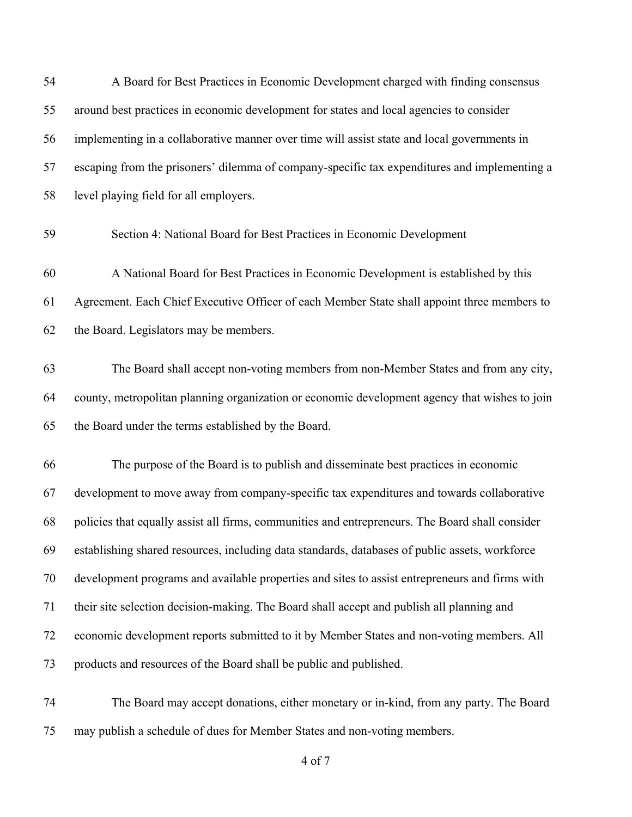| 54 | A Board for Best Practices in Economic Development charged with finding consensus               |
|----|-------------------------------------------------------------------------------------------------|
| 55 | around best practices in economic development for states and local agencies to consider         |
| 56 | implementing in a collaborative manner over time will assist state and local governments in     |
| 57 | escaping from the prisoners' dilemma of company-specific tax expenditures and implementing a    |
| 58 | level playing field for all employers.                                                          |
| 59 | Section 4: National Board for Best Practices in Economic Development                            |
| 60 | A National Board for Best Practices in Economic Development is established by this              |
| 61 | Agreement. Each Chief Executive Officer of each Member State shall appoint three members to     |
| 62 | the Board. Legislators may be members.                                                          |
| 63 | The Board shall accept non-voting members from non-Member States and from any city,             |
| 64 | county, metropolitan planning organization or economic development agency that wishes to join   |
| 65 | the Board under the terms established by the Board.                                             |
| 66 | The purpose of the Board is to publish and disseminate best practices in economic               |
| 67 | development to move away from company-specific tax expenditures and towards collaborative       |
| 68 | policies that equally assist all firms, communities and entrepreneurs. The Board shall consider |
| 69 | establishing shared resources, including data standards, databases of public assets, workforce  |
| 70 | development programs and available properties and sites to assist entrepreneurs and firms with  |
| 71 | their site selection decision-making. The Board shall accept and publish all planning and       |
| 72 | economic development reports submitted to it by Member States and non-voting members. All       |
| 73 | products and resources of the Board shall be public and published.                              |
| 74 | The Board may accept donations, either monetary or in-kind, from any party. The Board           |

may publish a schedule of dues for Member States and non-voting members.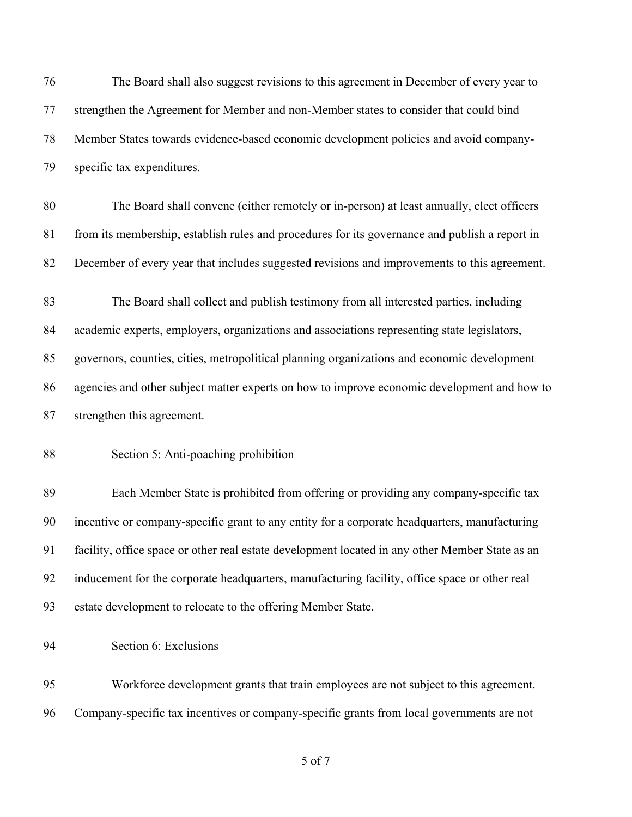The Board shall also suggest revisions to this agreement in December of every year to strengthen the Agreement for Member and non-Member states to consider that could bind Member States towards evidence-based economic development policies and avoid company- specific tax expenditures. The Board shall convene (either remotely or in-person) at least annually, elect officers from its membership, establish rules and procedures for its governance and publish a report in December of every year that includes suggested revisions and improvements to this agreement. The Board shall collect and publish testimony from all interested parties, including academic experts, employers, organizations and associations representing state legislators, governors, counties, cities, metropolitical planning organizations and economic development agencies and other subject matter experts on how to improve economic development and how to strengthen this agreement. Section 5: Anti-poaching prohibition Each Member State is prohibited from offering or providing any company-specific tax incentive or company-specific grant to any entity for a corporate headquarters, manufacturing facility, office space or other real estate development located in any other Member State as an inducement for the corporate headquarters, manufacturing facility, office space or other real estate development to relocate to the offering Member State. Section 6: Exclusions Workforce development grants that train employees are not subject to this agreement.

Company-specific tax incentives or company-specific grants from local governments are not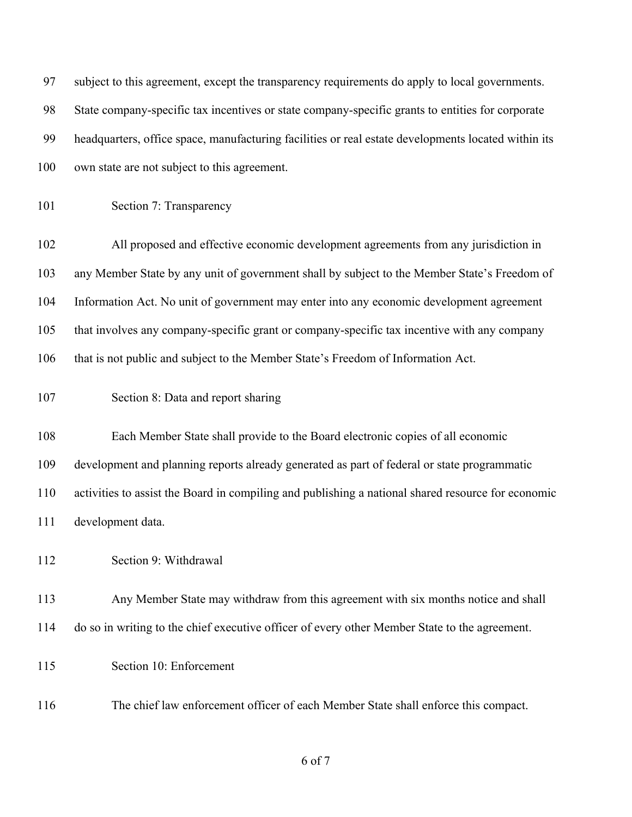| 97  | subject to this agreement, except the transparency requirements do apply to local governments.      |
|-----|-----------------------------------------------------------------------------------------------------|
| 98  | State company-specific tax incentives or state company-specific grants to entities for corporate    |
| 99  | headquarters, office space, manufacturing facilities or real estate developments located within its |
| 100 | own state are not subject to this agreement.                                                        |
| 101 | Section 7: Transparency                                                                             |
| 102 | All proposed and effective economic development agreements from any jurisdiction in                 |
| 103 | any Member State by any unit of government shall by subject to the Member State's Freedom of        |
| 104 | Information Act. No unit of government may enter into any economic development agreement            |
| 105 | that involves any company-specific grant or company-specific tax incentive with any company         |
| 106 | that is not public and subject to the Member State's Freedom of Information Act.                    |
| 107 | Section 8: Data and report sharing                                                                  |
| 108 | Each Member State shall provide to the Board electronic copies of all economic                      |
| 109 | development and planning reports already generated as part of federal or state programmatic         |
| 110 | activities to assist the Board in compiling and publishing a national shared resource for economic  |
| 111 | development data.                                                                                   |
| 112 | Section 9: Withdrawal                                                                               |
| 113 | Any Member State may withdraw from this agreement with six months notice and shall                  |
| 114 | do so in writing to the chief executive officer of every other Member State to the agreement.       |
| 115 | Section 10: Enforcement                                                                             |
| 116 | The chief law enforcement officer of each Member State shall enforce this compact.                  |